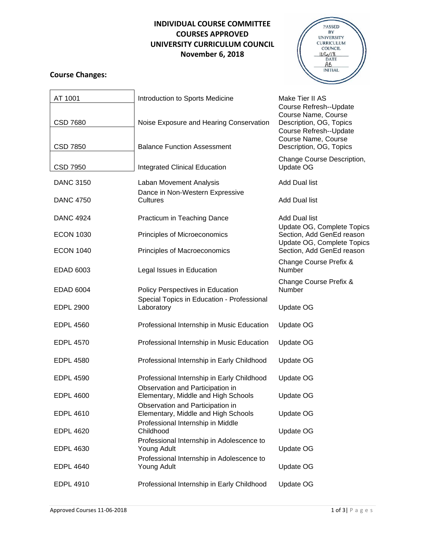## **INDIVIDUAL COURSE COMMITTEE COURSES APPROVED UNIVERSITY CURRICULUM COUNCIL November 6, 2018**

## **Course Changes:**

 $\overline{\phantom{0}}$ 



| AT 1001          | Introduction to Sports Medicine<br>Make Tier II AS<br>Course Refresh--Update<br>Course Name, Course<br>Noise Exposure and Hearing Conservation<br>Description, OG, Topics<br>Course Refresh--Update |                                                         |  |
|------------------|-----------------------------------------------------------------------------------------------------------------------------------------------------------------------------------------------------|---------------------------------------------------------|--|
| <b>CSD 7680</b>  |                                                                                                                                                                                                     |                                                         |  |
| CSD 7850         | <b>Balance Function Assessment</b>                                                                                                                                                                  | Course Name, Course<br>Description, OG, Topics          |  |
| <b>CSD 7950</b>  | Change Course Description,<br><b>Integrated Clinical Education</b><br>Update OG                                                                                                                     |                                                         |  |
| <b>DANC 3150</b> | <b>Add Dual list</b><br>Laban Movement Analysis                                                                                                                                                     |                                                         |  |
| <b>DANC 4750</b> | Dance in Non-Western Expressive<br><b>Cultures</b>                                                                                                                                                  | Add Dual list                                           |  |
| <b>DANC 4924</b> | Practicum in Teaching Dance                                                                                                                                                                         | <b>Add Dual list</b>                                    |  |
| <b>ECON 1030</b> | Principles of Microeconomics                                                                                                                                                                        | Update OG, Complete Topics<br>Section, Add GenEd reason |  |
| <b>ECON 1040</b> | Principles of Macroeconomics                                                                                                                                                                        | Update OG, Complete Topics<br>Section, Add GenEd reason |  |
| EDAD 6003        | Legal Issues in Education                                                                                                                                                                           | Change Course Prefix &<br>Number                        |  |
| <b>EDAD 6004</b> | Policy Perspectives in Education                                                                                                                                                                    | Change Course Prefix &<br>Number                        |  |
| <b>EDPL 2900</b> | Special Topics in Education - Professional<br>Laboratory                                                                                                                                            | Update OG                                               |  |
| <b>EDPL 4560</b> | Professional Internship in Music Education                                                                                                                                                          | Update OG                                               |  |
| <b>EDPL 4570</b> | Professional Internship in Music Education                                                                                                                                                          | Update OG                                               |  |
| <b>EDPL 4580</b> | Professional Internship in Early Childhood                                                                                                                                                          | Update OG                                               |  |
| <b>EDPL 4590</b> | Professional Internship in Early Childhood                                                                                                                                                          | Update OG                                               |  |
| <b>EDPL 4600</b> | Observation and Participation in<br>Elementary, Middle and High Schools                                                                                                                             | Update OG                                               |  |
| <b>EDPL 4610</b> | Observation and Participation in<br>Elementary, Middle and High Schools                                                                                                                             | Update OG                                               |  |
| <b>EDPL 4620</b> | Professional Internship in Middle<br>Childhood                                                                                                                                                      | Update OG                                               |  |
| <b>EDPL 4630</b> | Professional Internship in Adolescence to<br>Young Adult                                                                                                                                            | Update OG                                               |  |
| <b>EDPL 4640</b> | Professional Internship in Adolescence to<br><b>Young Adult</b>                                                                                                                                     | Update OG                                               |  |
| <b>EDPL 4910</b> | Professional Internship in Early Childhood                                                                                                                                                          | Update OG                                               |  |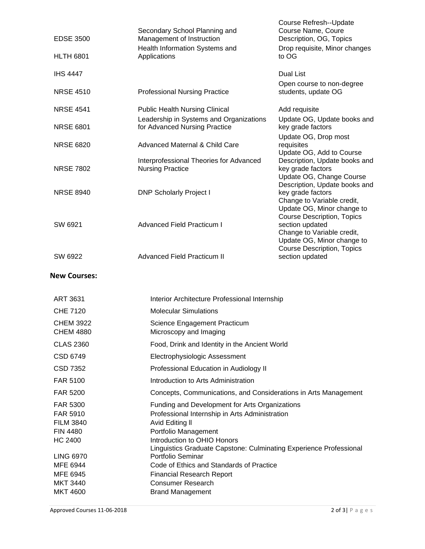| <b>EDSE 3500</b>                                                              | Secondary School Planning and<br>Management of Instruction                                                                                                                                                                                       | Course Refresh--Update<br>Course Name, Coure<br>Description, OG, Topics                                                                               |
|-------------------------------------------------------------------------------|--------------------------------------------------------------------------------------------------------------------------------------------------------------------------------------------------------------------------------------------------|-------------------------------------------------------------------------------------------------------------------------------------------------------|
| <b>HLTH 6801</b>                                                              | Health Information Systems and<br>Applications                                                                                                                                                                                                   | Drop requisite, Minor changes<br>to OG                                                                                                                |
| <b>IHS 4447</b>                                                               |                                                                                                                                                                                                                                                  | Dual List                                                                                                                                             |
| <b>NRSE 4510</b>                                                              | <b>Professional Nursing Practice</b>                                                                                                                                                                                                             | Open course to non-degree<br>students, update OG                                                                                                      |
| <b>NRSE 4541</b>                                                              | <b>Public Health Nursing Clinical</b><br>Add requisite                                                                                                                                                                                           |                                                                                                                                                       |
| <b>NRSE 6801</b>                                                              | Leadership in Systems and Organizations<br>for Advanced Nursing Practice                                                                                                                                                                         | Update OG, Update books and<br>key grade factors                                                                                                      |
| <b>NRSE 6820</b>                                                              | <b>Advanced Maternal &amp; Child Care</b>                                                                                                                                                                                                        | Update OG, Drop most<br>requisites                                                                                                                    |
| <b>NRSE 7802</b>                                                              | Interprofessional Theories for Advanced<br><b>Nursing Practice</b>                                                                                                                                                                               | Update OG, Add to Course<br>Description, Update books and<br>key grade factors<br>Update OG, Change Course                                            |
| <b>NRSE 8940</b>                                                              | <b>DNP Scholarly Project I</b>                                                                                                                                                                                                                   | Description, Update books and<br>key grade factors<br>Change to Variable credit,<br>Update OG, Minor change to                                        |
| SW 6921                                                                       | <b>Advanced Field Practicum I</b>                                                                                                                                                                                                                | <b>Course Description, Topics</b><br>section updated<br>Change to Variable credit,<br>Update OG, Minor change to<br><b>Course Description, Topics</b> |
| SW 6922                                                                       | <b>Advanced Field Practicum II</b>                                                                                                                                                                                                               | section updated                                                                                                                                       |
| <b>New Courses:</b>                                                           |                                                                                                                                                                                                                                                  |                                                                                                                                                       |
| <b>ART 3631</b>                                                               | Interior Architecture Professional Internship                                                                                                                                                                                                    |                                                                                                                                                       |
| <b>CHE 7120</b>                                                               | <b>Molecular Simulations</b>                                                                                                                                                                                                                     |                                                                                                                                                       |
| <b>CHEM 3922</b><br><b>CHEM 4880</b>                                          | Science Engagement Practicum<br>Microscopy and Imaging                                                                                                                                                                                           |                                                                                                                                                       |
| <b>CLAS 2360</b>                                                              | Food, Drink and Identity in the Ancient World                                                                                                                                                                                                    |                                                                                                                                                       |
| CSD 6749                                                                      | Electrophysiologic Assessment                                                                                                                                                                                                                    |                                                                                                                                                       |
| <b>CSD 7352</b>                                                               | Professional Education in Audiology II                                                                                                                                                                                                           |                                                                                                                                                       |
| FAR 5100                                                                      | Introduction to Arts Administration                                                                                                                                                                                                              |                                                                                                                                                       |
| <b>FAR 5200</b>                                                               | Concepts, Communications, and Considerations in Arts Management                                                                                                                                                                                  |                                                                                                                                                       |
| FAR 5300<br>FAR 5910<br><b>FILM 3840</b><br><b>FIN 4480</b><br><b>HC 2400</b> | Funding and Development for Arts Organizations<br>Professional Internship in Arts Administration<br>Avid Editing II<br>Portfolio Management<br>Introduction to OHIO Honors<br>Linguistics Graduate Capstone: Culminating Experience Professional |                                                                                                                                                       |
| <b>LING 6970</b>                                                              | Portfolio Seminar                                                                                                                                                                                                                                |                                                                                                                                                       |

- MFE 6944 Code of Ethics and Standards of Practice
- MFE 6945 **Financial Research Report** MKT 3440 Consumer Research

MKT 4600 Brand Management